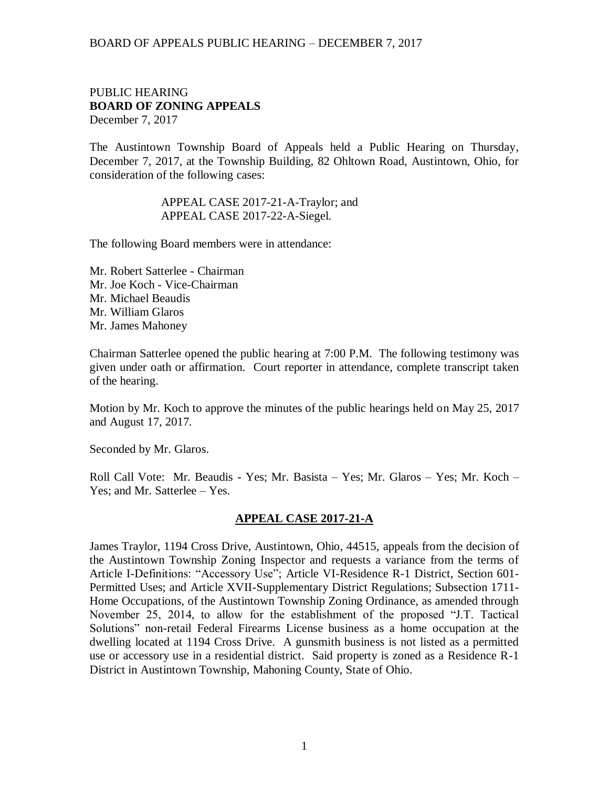### PUBLIC HEARING **BOARD OF ZONING APPEALS**  December 7, 2017

The Austintown Township Board of Appeals held a Public Hearing on Thursday, December 7, 2017, at the Township Building, 82 Ohltown Road, Austintown, Ohio, for consideration of the following cases:

> APPEAL CASE 2017-21-A-Traylor; and APPEAL CASE 2017-22-A-Siegel.

The following Board members were in attendance:

Mr. Robert Satterlee - Chairman Mr. Joe Koch - Vice-Chairman Mr. Michael Beaudis Mr. William Glaros Mr. James Mahoney

Chairman Satterlee opened the public hearing at 7:00 P.M. The following testimony was given under oath or affirmation. Court reporter in attendance, complete transcript taken of the hearing.

Motion by Mr. Koch to approve the minutes of the public hearings held on May 25, 2017 and August 17, 2017.

Seconded by Mr. Glaros.

Roll Call Vote: Mr. Beaudis - Yes; Mr. Basista – Yes; Mr. Glaros – Yes; Mr. Koch – Yes; and Mr. Satterlee – Yes.

### **APPEAL CASE 2017-21-A**

James Traylor, 1194 Cross Drive, Austintown, Ohio, 44515, appeals from the decision of the Austintown Township Zoning Inspector and requests a variance from the terms of Article I-Definitions: "Accessory Use"; Article VI-Residence R-1 District, Section 601- Permitted Uses; and Article XVII-Supplementary District Regulations; Subsection 1711- Home Occupations, of the Austintown Township Zoning Ordinance, as amended through November 25, 2014, to allow for the establishment of the proposed "J.T. Tactical Solutions" non-retail Federal Firearms License business as a home occupation at the dwelling located at 1194 Cross Drive. A gunsmith business is not listed as a permitted use or accessory use in a residential district. Said property is zoned as a Residence R-1 District in Austintown Township, Mahoning County, State of Ohio.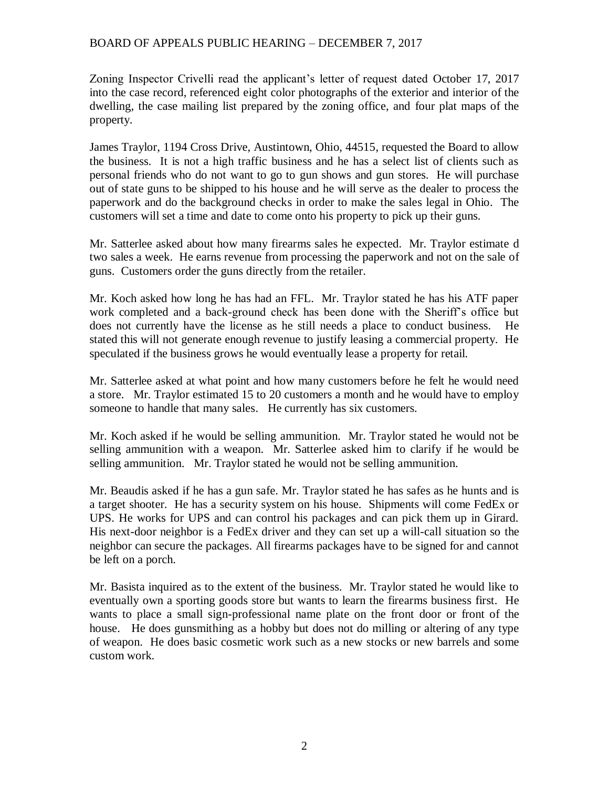Zoning Inspector Crivelli read the applicant's letter of request dated October 17, 2017 into the case record, referenced eight color photographs of the exterior and interior of the dwelling, the case mailing list prepared by the zoning office, and four plat maps of the property.

James Traylor, 1194 Cross Drive, Austintown, Ohio, 44515, requested the Board to allow the business. It is not a high traffic business and he has a select list of clients such as personal friends who do not want to go to gun shows and gun stores. He will purchase out of state guns to be shipped to his house and he will serve as the dealer to process the paperwork and do the background checks in order to make the sales legal in Ohio. The customers will set a time and date to come onto his property to pick up their guns.

Mr. Satterlee asked about how many firearms sales he expected. Mr. Traylor estimate d two sales a week. He earns revenue from processing the paperwork and not on the sale of guns. Customers order the guns directly from the retailer.

Mr. Koch asked how long he has had an FFL. Mr. Traylor stated he has his ATF paper work completed and a back-ground check has been done with the Sheriff's office but does not currently have the license as he still needs a place to conduct business. He stated this will not generate enough revenue to justify leasing a commercial property. He speculated if the business grows he would eventually lease a property for retail.

Mr. Satterlee asked at what point and how many customers before he felt he would need a store. Mr. Traylor estimated 15 to 20 customers a month and he would have to employ someone to handle that many sales. He currently has six customers.

Mr. Koch asked if he would be selling ammunition. Mr. Traylor stated he would not be selling ammunition with a weapon. Mr. Satterlee asked him to clarify if he would be selling ammunition. Mr. Traylor stated he would not be selling ammunition.

Mr. Beaudis asked if he has a gun safe. Mr. Traylor stated he has safes as he hunts and is a target shooter. He has a security system on his house. Shipments will come FedEx or UPS. He works for UPS and can control his packages and can pick them up in Girard. His next-door neighbor is a FedEx driver and they can set up a will-call situation so the neighbor can secure the packages. All firearms packages have to be signed for and cannot be left on a porch.

Mr. Basista inquired as to the extent of the business. Mr. Traylor stated he would like to eventually own a sporting goods store but wants to learn the firearms business first. He wants to place a small sign-professional name plate on the front door or front of the house. He does gunsmithing as a hobby but does not do milling or altering of any type of weapon. He does basic cosmetic work such as a new stocks or new barrels and some custom work.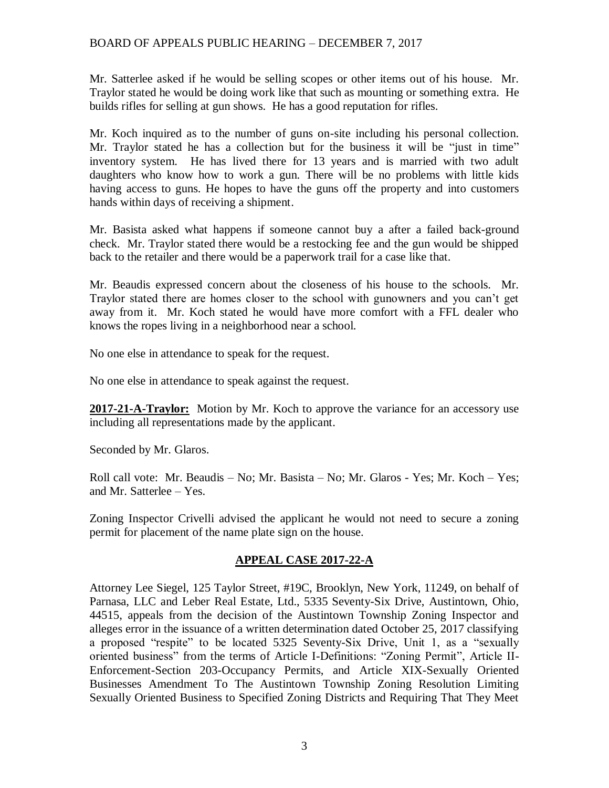Mr. Satterlee asked if he would be selling scopes or other items out of his house. Mr. Traylor stated he would be doing work like that such as mounting or something extra. He builds rifles for selling at gun shows. He has a good reputation for rifles.

Mr. Koch inquired as to the number of guns on-site including his personal collection. Mr. Traylor stated he has a collection but for the business it will be "just in time" inventory system. He has lived there for 13 years and is married with two adult daughters who know how to work a gun. There will be no problems with little kids having access to guns. He hopes to have the guns off the property and into customers hands within days of receiving a shipment.

Mr. Basista asked what happens if someone cannot buy a after a failed back-ground check. Mr. Traylor stated there would be a restocking fee and the gun would be shipped back to the retailer and there would be a paperwork trail for a case like that.

Mr. Beaudis expressed concern about the closeness of his house to the schools. Mr. Traylor stated there are homes closer to the school with gunowners and you can't get away from it. Mr. Koch stated he would have more comfort with a FFL dealer who knows the ropes living in a neighborhood near a school.

No one else in attendance to speak for the request.

No one else in attendance to speak against the request.

**2017-21-A-Traylor:** Motion by Mr. Koch to approve the variance for an accessory use including all representations made by the applicant.

Seconded by Mr. Glaros.

Roll call vote: Mr. Beaudis – No; Mr. Basista – No; Mr. Glaros - Yes; Mr. Koch – Yes; and Mr. Satterlee – Yes.

Zoning Inspector Crivelli advised the applicant he would not need to secure a zoning permit for placement of the name plate sign on the house.

### **APPEAL CASE 2017-22-A**

Attorney Lee Siegel, 125 Taylor Street, #19C, Brooklyn, New York, 11249, on behalf of Parnasa, LLC and Leber Real Estate, Ltd., 5335 Seventy-Six Drive, Austintown, Ohio, 44515, appeals from the decision of the Austintown Township Zoning Inspector and alleges error in the issuance of a written determination dated October 25, 2017 classifying a proposed "respite" to be located 5325 Seventy-Six Drive, Unit 1, as a "sexually oriented business" from the terms of Article I-Definitions: "Zoning Permit", Article II-Enforcement-Section 203-Occupancy Permits, and Article XIX-Sexually Oriented Businesses Amendment To The Austintown Township Zoning Resolution Limiting Sexually Oriented Business to Specified Zoning Districts and Requiring That They Meet